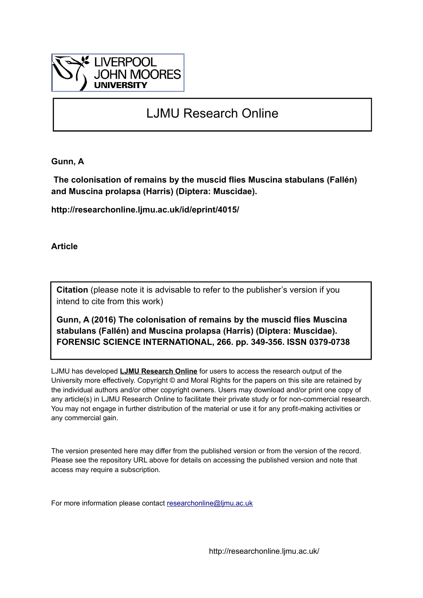

# LJMU Research Online

**Gunn, A**

 **The colonisation of remains by the muscid flies Muscina stabulans (Fallén) and Muscina prolapsa (Harris) (Diptera: Muscidae).**

**http://researchonline.ljmu.ac.uk/id/eprint/4015/**

**Article**

**Citation** (please note it is advisable to refer to the publisher's version if you intend to cite from this work)

**Gunn, A (2016) The colonisation of remains by the muscid flies Muscina stabulans (Fallén) and Muscina prolapsa (Harris) (Diptera: Muscidae). FORENSIC SCIENCE INTERNATIONAL, 266. pp. 349-356. ISSN 0379-0738** 

LJMU has developed **[LJMU Research Online](http://researchonline.ljmu.ac.uk/)** for users to access the research output of the University more effectively. Copyright © and Moral Rights for the papers on this site are retained by the individual authors and/or other copyright owners. Users may download and/or print one copy of any article(s) in LJMU Research Online to facilitate their private study or for non-commercial research. You may not engage in further distribution of the material or use it for any profit-making activities or any commercial gain.

The version presented here may differ from the published version or from the version of the record. Please see the repository URL above for details on accessing the published version and note that access may require a subscription.

For more information please contact [researchonline@ljmu.ac.uk](mailto:researchonline@ljmu.ac.uk)

http://researchonline.ljmu.ac.uk/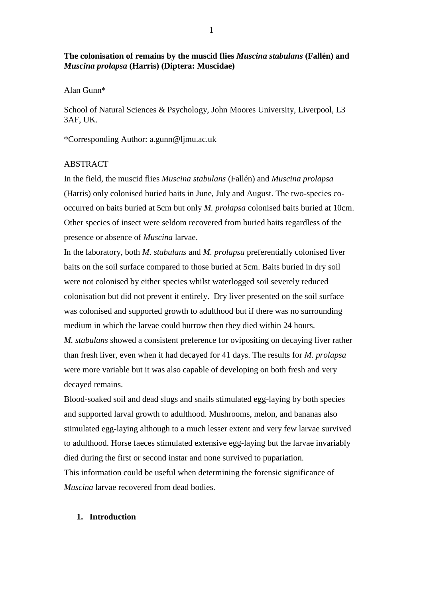# **The colonisation of remains by the muscid flies** *Muscina stabulans* **(Fallén) and**  *Muscina prolapsa* **(Harris) (Diptera: Muscidae)**

Alan Gunn\*

School of Natural Sciences & Psychology, John Moores University, Liverpool, L3 3AF, UK.

\*Corresponding Author: a.gunn@ljmu.ac.uk

### ABSTRACT

In the field, the muscid flies *Muscina stabulans* (Fallén) and *Muscina prolapsa* (Harris) only colonised buried baits in June, July and August. The two-species cooccurred on baits buried at 5cm but only *M. prolapsa* colonised baits buried at 10cm. Other species of insect were seldom recovered from buried baits regardless of the presence or absence of *Muscina* larvae.

In the laboratory, both *M. stabulans* and *M. prolapsa* preferentially colonised liver baits on the soil surface compared to those buried at 5cm. Baits buried in dry soil were not colonised by either species whilst waterlogged soil severely reduced colonisation but did not prevent it entirely. Dry liver presented on the soil surface was colonised and supported growth to adulthood but if there was no surrounding medium in which the larvae could burrow then they died within 24 hours.

*M. stabulans* showed a consistent preference for ovipositing on decaying liver rather than fresh liver, even when it had decayed for 41 days. The results for *M. prolapsa* were more variable but it was also capable of developing on both fresh and very decayed remains.

Blood-soaked soil and dead slugs and snails stimulated egg-laying by both species and supported larval growth to adulthood. Mushrooms, melon, and bananas also stimulated egg-laying although to a much lesser extent and very few larvae survived to adulthood. Horse faeces stimulated extensive egg-laying but the larvae invariably died during the first or second instar and none survived to pupariation.

This information could be useful when determining the forensic significance of *Muscina* larvae recovered from dead bodies.

### **1. Introduction**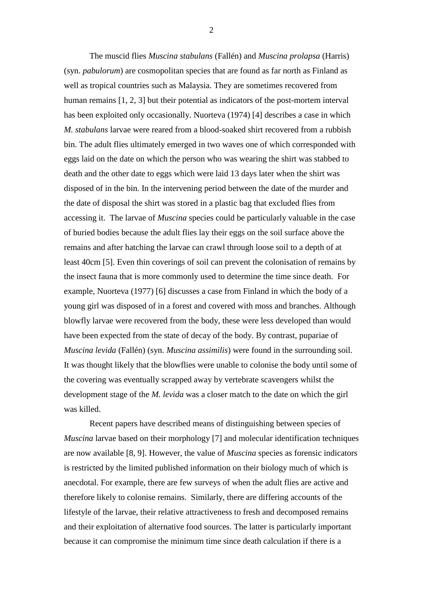The muscid flies *Muscina stabulans* (Fallén) and *Muscina prolapsa* (Harris) (syn. *pabulorum*) are cosmopolitan species that are found as far north as Finland as well as tropical countries such as Malaysia. They are sometimes recovered from human remains [1, 2, 3] but their potential as indicators of the post-mortem interval has been exploited only occasionally. Nuorteva (1974) [4] describes a case in which *M. stabulans* larvae were reared from a blood-soaked shirt recovered from a rubbish bin. The adult flies ultimately emerged in two waves one of which corresponded with eggs laid on the date on which the person who was wearing the shirt was stabbed to death and the other date to eggs which were laid 13 days later when the shirt was disposed of in the bin. In the intervening period between the date of the murder and the date of disposal the shirt was stored in a plastic bag that excluded flies from accessing it. The larvae of *Muscina* species could be particularly valuable in the case of buried bodies because the adult flies lay their eggs on the soil surface above the remains and after hatching the larvae can crawl through loose soil to a depth of at least 40cm [5]. Even thin coverings of soil can prevent the colonisation of remains by the insect fauna that is more commonly used to determine the time since death. For example, Nuorteva (1977) [6] discusses a case from Finland in which the body of a young girl was disposed of in a forest and covered with moss and branches. Although blowfly larvae were recovered from the body, these were less developed than would have been expected from the state of decay of the body. By contrast, pupariae of *Muscina levida* (Fallén) (syn. *Muscina assimilis*) were found in the surrounding soil. It was thought likely that the blowflies were unable to colonise the body until some of the covering was eventually scrapped away by vertebrate scavengers whilst the development stage of the *M. levida* was a closer match to the date on which the girl was killed.

Recent papers have described means of distinguishing between species of *Muscina* larvae based on their morphology [7] and molecular identification techniques are now available [8, 9]. However, the value of *Muscina* species as forensic indicators is restricted by the limited published information on their biology much of which is anecdotal. For example, there are few surveys of when the adult flies are active and therefore likely to colonise remains. Similarly, there are differing accounts of the lifestyle of the larvae, their relative attractiveness to fresh and decomposed remains and their exploitation of alternative food sources. The latter is particularly important because it can compromise the minimum time since death calculation if there is a

2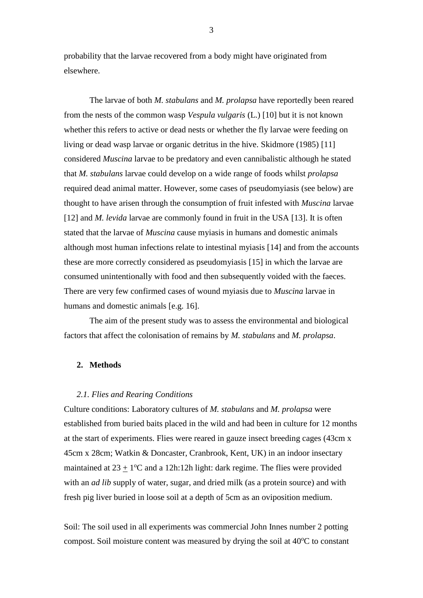probability that the larvae recovered from a body might have originated from elsewhere.

The larvae of both *M. stabulans* and *M. prolapsa* have reportedly been reared from the nests of the common wasp *Vespula vulgaris* (L.) [10] but it is not known whether this refers to active or dead nests or whether the fly larvae were feeding on living or dead wasp larvae or organic detritus in the hive. Skidmore (1985) [11] considered *Muscina* larvae to be predatory and even cannibalistic although he stated that *M. stabulans* larvae could develop on a wide range of foods whilst *prolapsa* required dead animal matter. However, some cases of pseudomyiasis (see below) are thought to have arisen through the consumption of fruit infested with *Muscina* larvae [12] and *M. levida* larvae are commonly found in fruit in the USA [13]. It is often stated that the larvae of *Muscina* cause myiasis in humans and domestic animals although most human infections relate to intestinal myiasis [14] and from the accounts these are more correctly considered as pseudomyiasis [15] in which the larvae are consumed unintentionally with food and then subsequently voided with the faeces. There are very few confirmed cases of wound myiasis due to *Muscina* larvae in humans and domestic animals [e.g. 16].

The aim of the present study was to assess the environmental and biological factors that affect the colonisation of remains by *M. stabulans* and *M. prolapsa*.

#### **2. Methods**

### *2.1. Flies and Rearing Conditions*

Culture conditions: Laboratory cultures of *M. stabulans* and *M. prolapsa* were established from buried baits placed in the wild and had been in culture for 12 months at the start of experiments. Flies were reared in gauze insect breeding cages (43cm x 45cm x 28cm; Watkin & Doncaster, Cranbrook, Kent, UK) in an indoor insectary maintained at  $23 \pm 1$ <sup>o</sup>C and a 12h:12h light: dark regime. The flies were provided with an *ad lib* supply of water, sugar, and dried milk (as a protein source) and with fresh pig liver buried in loose soil at a depth of 5cm as an oviposition medium.

Soil: The soil used in all experiments was commercial John Innes number 2 potting compost. Soil moisture content was measured by drying the soil at  $40^{\circ}$ C to constant

3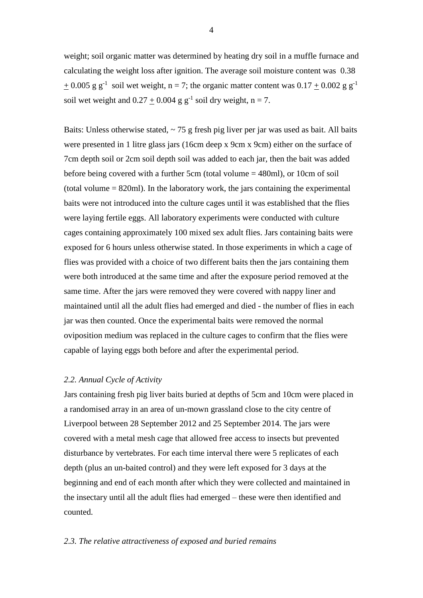weight; soil organic matter was determined by heating dry soil in a muffle furnace and calculating the weight loss after ignition. The average soil moisture content was 0.38  $\pm$  0.005 g g<sup>-1</sup> soil wet weight, n = 7; the organic matter content was 0.17  $\pm$  0.002 g g<sup>-1</sup> soil wet weight and  $0.27 \pm 0.004$  g g<sup>-1</sup> soil dry weight, n = 7.

Baits: Unless otherwise stated,  $\sim$  75 g fresh pig liver per jar was used as bait. All baits were presented in 1 litre glass jars (16cm deep x 9cm x 9cm) either on the surface of 7cm depth soil or 2cm soil depth soil was added to each jar, then the bait was added before being covered with a further 5cm (total volume = 480ml), or 10cm of soil (total volume  $= 820$ ml). In the laboratory work, the jars containing the experimental baits were not introduced into the culture cages until it was established that the flies were laying fertile eggs. All laboratory experiments were conducted with culture cages containing approximately 100 mixed sex adult flies. Jars containing baits were exposed for 6 hours unless otherwise stated. In those experiments in which a cage of flies was provided with a choice of two different baits then the jars containing them were both introduced at the same time and after the exposure period removed at the same time. After the jars were removed they were covered with nappy liner and maintained until all the adult flies had emerged and died - the number of flies in each jar was then counted. Once the experimental baits were removed the normal oviposition medium was replaced in the culture cages to confirm that the flies were capable of laying eggs both before and after the experimental period.

#### *2.2. Annual Cycle of Activity*

Jars containing fresh pig liver baits buried at depths of 5cm and 10cm were placed in a randomised array in an area of un-mown grassland close to the city centre of Liverpool between 28 September 2012 and 25 September 2014. The jars were covered with a metal mesh cage that allowed free access to insects but prevented disturbance by vertebrates. For each time interval there were 5 replicates of each depth (plus an un-baited control) and they were left exposed for 3 days at the beginning and end of each month after which they were collected and maintained in the insectary until all the adult flies had emerged – these were then identified and counted.

### *2.3. The relative attractiveness of exposed and buried remains*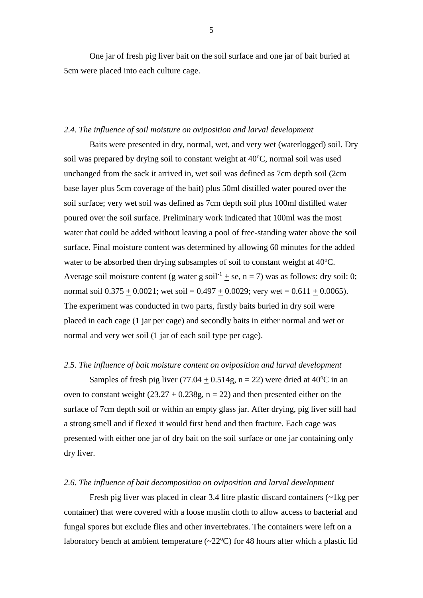One jar of fresh pig liver bait on the soil surface and one jar of bait buried at 5cm were placed into each culture cage.

### *2.4. The influence of soil moisture on oviposition and larval development*

Baits were presented in dry, normal, wet, and very wet (waterlogged) soil. Dry soil was prepared by drying soil to constant weight at 40°C, normal soil was used unchanged from the sack it arrived in, wet soil was defined as 7cm depth soil (2cm base layer plus 5cm coverage of the bait) plus 50ml distilled water poured over the soil surface; very wet soil was defined as 7cm depth soil plus 100ml distilled water poured over the soil surface. Preliminary work indicated that 100ml was the most water that could be added without leaving a pool of free-standing water above the soil surface. Final moisture content was determined by allowing 60 minutes for the added water to be absorbed then drying subsamples of soil to constant weight at 40°C. Average soil moisture content (g water g soil<sup>-1</sup> + se, n = 7) was as follows: dry soil: 0; normal soil  $0.375 + 0.0021$ ; wet soil = 0.497 + 0.0029; very wet = 0.611 + 0.0065). The experiment was conducted in two parts, firstly baits buried in dry soil were placed in each cage (1 jar per cage) and secondly baits in either normal and wet or normal and very wet soil (1 jar of each soil type per cage).

### *2.5. The influence of bait moisture content on oviposition and larval development*

Samples of fresh pig liver  $(77.04 + 0.514g, n = 22)$  were dried at 40<sup>o</sup>C in an oven to constant weight  $(23.27 + 0.238g, n = 22)$  and then presented either on the surface of 7cm depth soil or within an empty glass jar. After drying, pig liver still had a strong smell and if flexed it would first bend and then fracture. Each cage was presented with either one jar of dry bait on the soil surface or one jar containing only dry liver.

#### *2.6. The influence of bait decomposition on oviposition and larval development*

Fresh pig liver was placed in clear 3.4 litre plastic discard containers (~1kg per container) that were covered with a loose muslin cloth to allow access to bacterial and fungal spores but exclude flies and other invertebrates. The containers were left on a laboratory bench at ambient temperature  $(\sim 22^{\circ}C)$  for 48 hours after which a plastic lid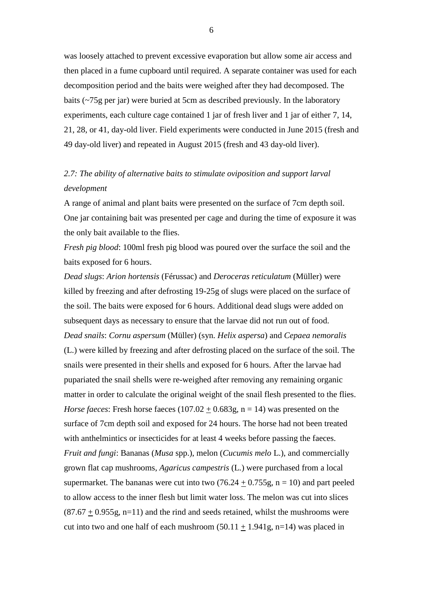was loosely attached to prevent excessive evaporation but allow some air access and then placed in a fume cupboard until required. A separate container was used for each decomposition period and the baits were weighed after they had decomposed. The baits (~75g per jar) were buried at 5cm as described previously. In the laboratory experiments, each culture cage contained 1 jar of fresh liver and 1 jar of either 7, 14, 21, 28, or 41, day-old liver. Field experiments were conducted in June 2015 (fresh and 49 day-old liver) and repeated in August 2015 (fresh and 43 day-old liver).

# *2.7: The ability of alternative baits to stimulate oviposition and support larval development*

A range of animal and plant baits were presented on the surface of 7cm depth soil. One jar containing bait was presented per cage and during the time of exposure it was the only bait available to the flies.

*Fresh pig blood*: 100ml fresh pig blood was poured over the surface the soil and the baits exposed for 6 hours.

*Dead slugs*: *Arion hortensis* (Férussac) and *Deroceras reticulatum* (Müller) were killed by freezing and after defrosting 19-25g of slugs were placed on the surface of the soil. The baits were exposed for 6 hours. Additional dead slugs were added on subsequent days as necessary to ensure that the larvae did not run out of food. *Dead snails*: *Cornu aspersum* (Müller) (syn. *Helix aspersa*) and *Cepaea nemoralis* (L.) were killed by freezing and after defrosting placed on the surface of the soil. The snails were presented in their shells and exposed for 6 hours. After the larvae had pupariated the snail shells were re-weighed after removing any remaining organic matter in order to calculate the original weight of the snail flesh presented to the flies. *Horse faeces*: Fresh horse faeces  $(107.02 + 0.683g, n = 14)$  was presented on the surface of 7cm depth soil and exposed for 24 hours. The horse had not been treated with anthelmintics or insecticides for at least 4 weeks before passing the faeces. *Fruit and fungi*: Bananas (*Musa* spp.), melon (*Cucumis melo* L.), and commercially grown flat cap mushrooms, *Agaricus campestris* (L.) were purchased from a local supermarket. The bananas were cut into two  $(76.24 \pm 0.755g, n = 10)$  and part peeled to allow access to the inner flesh but limit water loss. The melon was cut into slices  $(87.67 + 0.955g, n=11)$  and the rind and seeds retained, whilst the mushrooms were cut into two and one half of each mushroom  $(50.11 \pm 1.941 \text{g}, \text{n=14})$  was placed in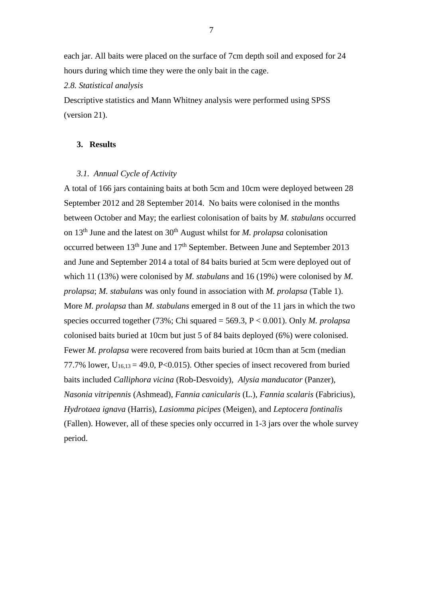each jar. All baits were placed on the surface of 7cm depth soil and exposed for 24 hours during which time they were the only bait in the cage.

*2.8. Statistical analysis*

Descriptive statistics and Mann Whitney analysis were performed using SPSS (version 21).

### **3. Results**

### *3.1. Annual Cycle of Activity*

A total of 166 jars containing baits at both 5cm and 10cm were deployed between 28 September 2012 and 28 September 2014. No baits were colonised in the months between October and May; the earliest colonisation of baits by *M. stabulans* occurred on 13th June and the latest on 30th August whilst for *M. prolapsa* colonisation occurred between 13<sup>th</sup> June and 17<sup>th</sup> September. Between June and September 2013 and June and September 2014 a total of 84 baits buried at 5cm were deployed out of which 11 (13%) were colonised by *M. stabulans* and 16 (19%) were colonised by *M*. *prolapsa*; *M. stabulans* was only found in association with *M. prolapsa* (Table 1). More *M. prolapsa* than *M. stabulans* emerged in 8 out of the 11 jars in which the two species occurred together (73%; Chi squared = 569.3, P < 0.001). Only *M. prolapsa* colonised baits buried at 10cm but just 5 of 84 baits deployed (6%) were colonised. Fewer *M. prolapsa* were recovered from baits buried at 10cm than at 5cm (median 77.7% lower,  $U_{16,13} = 49.0$ , P<0.015). Other species of insect recovered from buried baits included *Calliphora vicina* (Rob-Desvoidy), *Alysia manducator* (Panzer), *Nasonia vitripennis* (Ashmead), *Fannia canicularis* (L.), *Fannia scalaris* (Fabricius), *Hydrotaea ignava* (Harris), *Lasiomma picipes* (Meigen), and *Leptocera fontinalis* (Fallen). However, all of these species only occurred in 1-3 jars over the whole survey period.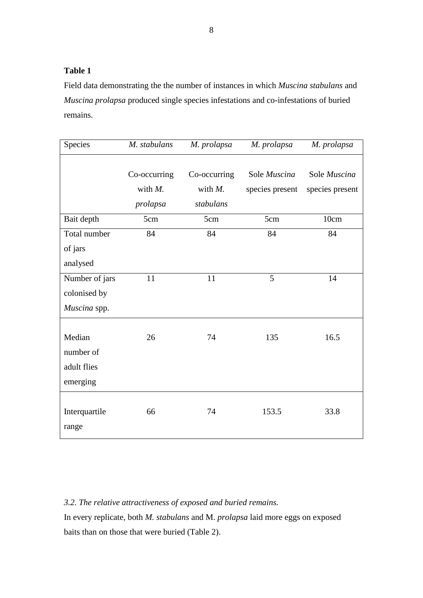Field data demonstrating the the number of instances in which *Muscina stabulans* and *Muscina prolapsa* produced single species infestations and co-infestations of buried remains.

| Species                                        | M. stabulans                           | M. prolapsa                             | M. prolapsa                     | M. prolapsa                     |
|------------------------------------------------|----------------------------------------|-----------------------------------------|---------------------------------|---------------------------------|
|                                                | Co-occurring<br>with $M$ .<br>prolapsa | Co-occurring<br>with $M$ .<br>stabulans | Sole Muscina<br>species present | Sole Muscina<br>species present |
| Bait depth                                     | 5cm                                    | 5cm                                     | 5cm                             | 10cm                            |
| Total number<br>of jars                        | 84                                     | 84                                      | 84                              | 84                              |
| analysed                                       |                                        |                                         |                                 |                                 |
| Number of jars<br>colonised by<br>Muscina spp. | 11                                     | 11                                      | 5                               | 14                              |
| Median<br>number of<br>adult flies<br>emerging | 26                                     | 74                                      | 135                             | 16.5                            |
| Interquartile<br>range                         | 66                                     | 74                                      | 153.5                           | 33.8                            |

*3.2. The relative attractiveness of exposed and buried remains.*

In every replicate, both *M. stabulans* and M. *prolapsa* laid more eggs on exposed baits than on those that were buried (Table 2).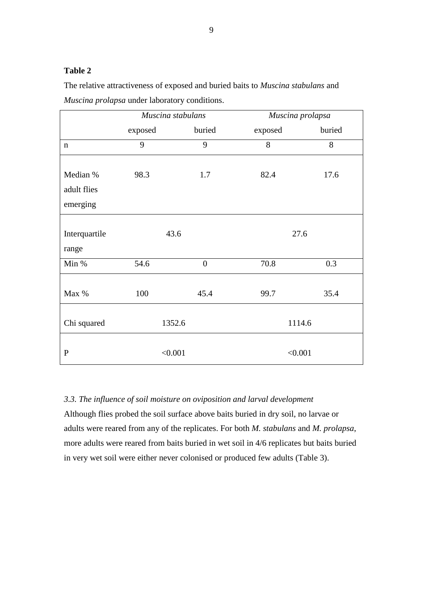The relative attractiveness of exposed and buried baits to *Muscina stabulans* and *Muscina prolapsa* under laboratory conditions.

|               | Muscina stabulans |                | Muscina prolapsa |        |  |  |
|---------------|-------------------|----------------|------------------|--------|--|--|
|               | exposed           | buried         | exposed          | buried |  |  |
| $\mathbf n$   | 9                 | 9              | 8                | 8      |  |  |
|               |                   |                |                  |        |  |  |
| Median %      | 98.3              | 1.7            | 82.4             | 17.6   |  |  |
| adult flies   |                   |                |                  |        |  |  |
| emerging      |                   |                |                  |        |  |  |
|               |                   |                |                  |        |  |  |
| Interquartile | 43.6              |                | 27.6             |        |  |  |
| range         |                   |                |                  |        |  |  |
| Min %         | 54.6              | $\overline{0}$ | 70.8             | 0.3    |  |  |
|               |                   |                |                  |        |  |  |
| Max %         | 100               | 45.4           | 99.7             | 35.4   |  |  |
|               |                   |                |                  |        |  |  |
| Chi squared   | 1352.6            |                | 1114.6           |        |  |  |
|               |                   |                |                  |        |  |  |
| $\mathbf{P}$  | < 0.001           |                | < 0.001          |        |  |  |

# *3.3. The influence of soil moisture on oviposition and larval development*

Although flies probed the soil surface above baits buried in dry soil, no larvae or adults were reared from any of the replicates. For both *M. stabulans* and *M. prolapsa*, more adults were reared from baits buried in wet soil in 4/6 replicates but baits buried in very wet soil were either never colonised or produced few adults (Table 3).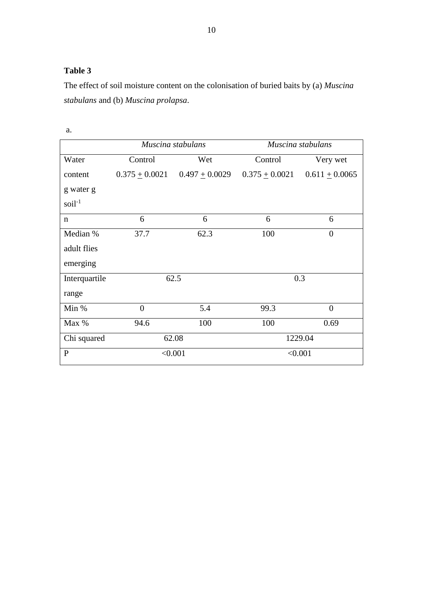The effect of soil moisture content on the colonisation of buried baits by (a) *Muscina stabulans* and (b) *Muscina prolapsa*.

|               |                    | Muscina stabulans  | Muscina stabulans  |                  |  |  |
|---------------|--------------------|--------------------|--------------------|------------------|--|--|
| Water         | Control<br>Wet     |                    | Control            | Very wet         |  |  |
| content       | $0.375 \pm 0.0021$ | $0.497 \pm 0.0029$ | $0.375 \pm 0.0021$ | $0.611 + 0.0065$ |  |  |
| g water g     |                    |                    |                    |                  |  |  |
| $soil-1$      |                    |                    |                    |                  |  |  |
| n             | 6                  | 6                  | 6                  | 6                |  |  |
| Median %      | 37.7               | 62.3               | 100                | $\overline{0}$   |  |  |
| adult flies   |                    |                    |                    |                  |  |  |
| emerging      |                    |                    |                    |                  |  |  |
| Interquartile |                    | 62.5               | 0.3                |                  |  |  |
| range         |                    |                    |                    |                  |  |  |
| Min %         | $\boldsymbol{0}$   | 5.4                | 99.3               | $\overline{0}$   |  |  |
| Max %         | 94.6               | 100                | 100<br>0.69        |                  |  |  |
| Chi squared   |                    | 62.08              | 1229.04            |                  |  |  |
| $\mathbf{P}$  |                    | < 0.001            | < 0.001            |                  |  |  |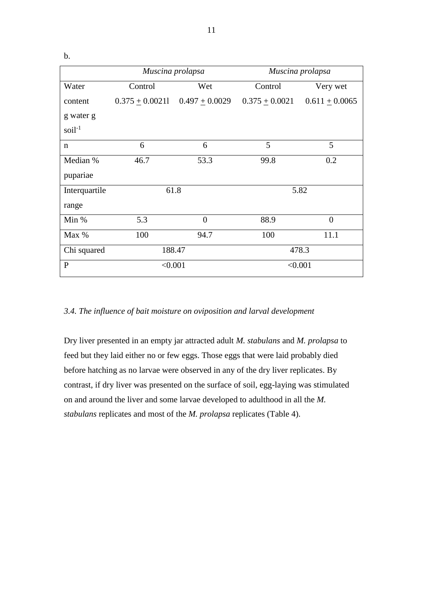b.

|               | Muscina prolapsa          |                                        |                    | Muscina prolapsa |  |  |  |
|---------------|---------------------------|----------------------------------------|--------------------|------------------|--|--|--|
| Water         | Control<br>Control<br>Wet |                                        |                    | Very wet         |  |  |  |
| content       |                           | $0.375 \pm 0.00211$ $0.497 \pm 0.0029$ | $0.375 \pm 0.0021$ | $0.611 + 0.0065$ |  |  |  |
| g water g     |                           |                                        |                    |                  |  |  |  |
| $soil-1$      |                           |                                        |                    |                  |  |  |  |
| $\mathbf n$   | 6                         | 6                                      | 5                  | 5                |  |  |  |
| Median %      | 46.7                      | 53.3                                   | 99.8               | 0.2              |  |  |  |
| pupariae      |                           |                                        |                    |                  |  |  |  |
| Interquartile | 61.8                      |                                        | 5.82               |                  |  |  |  |
| range         |                           |                                        |                    |                  |  |  |  |
| Min %         | 5.3                       | $\theta$                               | 88.9               | $\theta$         |  |  |  |
| Max %         | 100                       | 94.7                                   | 100                | 11.1             |  |  |  |
| Chi squared   |                           | 188.47                                 | 478.3              |                  |  |  |  |
| $\mathbf{P}$  | < 0.001                   |                                        | < 0.001            |                  |  |  |  |

### *3.4. The influence of bait moisture on oviposition and larval development*

Dry liver presented in an empty jar attracted adult *M. stabulans* and *M. prolapsa* to feed but they laid either no or few eggs. Those eggs that were laid probably died before hatching as no larvae were observed in any of the dry liver replicates. By contrast, if dry liver was presented on the surface of soil, egg-laying was stimulated on and around the liver and some larvae developed to adulthood in all the *M. stabulans* replicates and most of the *M. prolapsa* replicates (Table 4).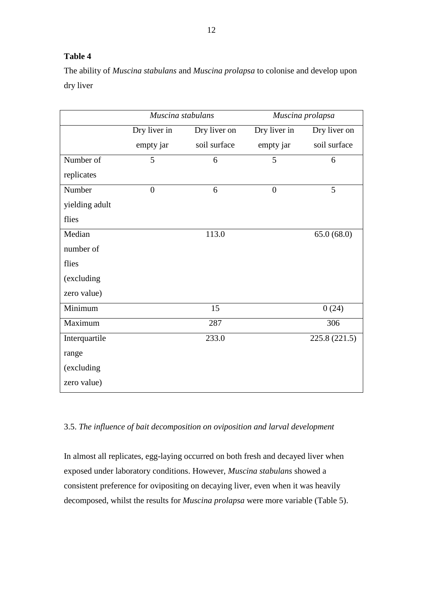The ability of *Muscina stabulans* and *Muscina prolapsa* to colonise and develop upon dry liver

|                | Muscina stabulans |              | Muscina prolapsa |               |  |  |
|----------------|-------------------|--------------|------------------|---------------|--|--|
|                | Dry liver in      | Dry liver on | Dry liver in     | Dry liver on  |  |  |
|                | empty jar         | soil surface | empty jar        | soil surface  |  |  |
| Number of      | 5                 | 6            | 5                | 6             |  |  |
| replicates     |                   |              |                  |               |  |  |
| Number         | $\overline{0}$    | 6            | $\overline{0}$   | 5             |  |  |
| yielding adult |                   |              |                  |               |  |  |
| flies          |                   |              |                  |               |  |  |
| Median         |                   | 113.0        |                  | 65.0(68.0)    |  |  |
| number of      |                   |              |                  |               |  |  |
| flies          |                   |              |                  |               |  |  |
| (excluding     |                   |              |                  |               |  |  |
| zero value)    |                   |              |                  |               |  |  |
| Minimum        |                   | 15           |                  | 0(24)         |  |  |
| Maximum        |                   | 287          |                  | 306           |  |  |
| Interquartile  |                   | 233.0        |                  | 225.8 (221.5) |  |  |
| range          |                   |              |                  |               |  |  |
| (excluding     |                   |              |                  |               |  |  |
| zero value)    |                   |              |                  |               |  |  |

### 3.5. *The influence of bait decomposition on oviposition and larval development*

In almost all replicates, egg-laying occurred on both fresh and decayed liver when exposed under laboratory conditions. However, *Muscina stabulans* showed a consistent preference for ovipositing on decaying liver, even when it was heavily decomposed, whilst the results for *Muscina prolapsa* were more variable (Table 5).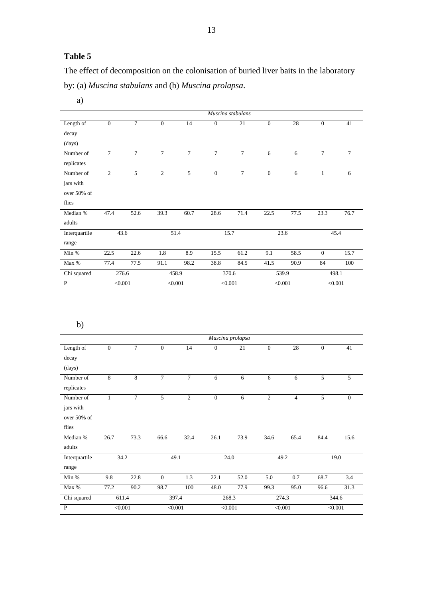The effect of decomposition on the colonisation of buried liver baits in the laboratory by: (a) *Muscina stabulans* and (b) *Muscina prolapsa*.

a)

|               |                |                |                |         |                | Muscina stabulans |              |         |              |         |
|---------------|----------------|----------------|----------------|---------|----------------|-------------------|--------------|---------|--------------|---------|
| Length of     | $\overline{0}$ | $\overline{7}$ | $\theta$       | 14      | $\theta$       | 21                | $\theta$     | 28      | $\theta$     | 41      |
| decay         |                |                |                |         |                |                   |              |         |              |         |
| (days)        |                |                |                |         |                |                   |              |         |              |         |
| Number of     | $\tau$         | $\tau$         | $\tau$         | $\tau$  | $\overline{7}$ | $\tau$            | 6            | 6       | $\tau$       | $\tau$  |
| replicates    |                |                |                |         |                |                   |              |         |              |         |
| Number of     | $\overline{2}$ | 5              | $\overline{2}$ | 5       | $\mathbf{0}$   | $\tau$            | $\mathbf{0}$ | 6       | $\mathbf{1}$ | 6       |
| jars with     |                |                |                |         |                |                   |              |         |              |         |
| over 50% of   |                |                |                |         |                |                   |              |         |              |         |
| flies         |                |                |                |         |                |                   |              |         |              |         |
| Median %      | 47.4           | 52.6           | 39.3           | 60.7    | 28.6           | 71.4              | 22.5         | 77.5    | 23.3         | 76.7    |
| adults        |                |                |                |         |                |                   |              |         |              |         |
| Interquartile |                | 43.6           |                | 51.4    |                | 15.7              |              | 23.6    |              | 45.4    |
| range         |                |                |                |         |                |                   |              |         |              |         |
| Min %         | 22.5           | 22.6           | 1.8            | 8.9     | 15.5           | 61.2              | 9.1          | 58.5    | $\theta$     | 15.7    |
| Max %         | 77.4           | 77.5           | 91.1           | 98.2    | 38.8           | 84.5              | 41.5         | 90.9    | 84           | 100     |
| Chi squared   |                | 276.6          |                | 458.9   |                | 370.6             |              | 539.9   |              | 498.1   |
| $\mathbf{P}$  |                | < 0.001        |                | < 0.001 |                | < 0.001           |              | < 0.001 |              | < 0.001 |

b)

|               |                |                |                |                |              | Muscina prolapsa |                |                |              |              |
|---------------|----------------|----------------|----------------|----------------|--------------|------------------|----------------|----------------|--------------|--------------|
| Length of     | $\overline{0}$ | $\tau$         | $\mathbf{0}$   | 14             | $\mathbf{0}$ | 21               | $\mathbf{0}$   | 28             | $\mathbf{0}$ | 41           |
| decay         |                |                |                |                |              |                  |                |                |              |              |
| (days)        |                |                |                |                |              |                  |                |                |              |              |
| Number of     | 8              | 8              | $\overline{7}$ | $\overline{7}$ | 6            | 6                | 6              | 6              | 5            | 5            |
| replicates    |                |                |                |                |              |                  |                |                |              |              |
| Number of     | $\mathbf{1}$   | $\overline{7}$ | 5              | $\overline{c}$ | $\mathbf{0}$ | 6                | $\overline{2}$ | $\overline{4}$ | 5            | $\mathbf{0}$ |
| jars with     |                |                |                |                |              |                  |                |                |              |              |
| over 50% of   |                |                |                |                |              |                  |                |                |              |              |
| flies         |                |                |                |                |              |                  |                |                |              |              |
| Median %      | 26.7           | 73.3           | 66.6           | 32.4           | 26.1         | 73.9             | 34.6           | 65.4           | 84.4         | 15.6         |
| adults        |                |                |                |                |              |                  |                |                |              |              |
| Interquartile |                | 34.2           |                | 49.1           |              | 24.0             |                | 49.2           |              | 19.0         |
| range         |                |                |                |                |              |                  |                |                |              |              |
| Min %         | 9.8            | 22.8           | $\mathbf{0}$   | 1.3            | 22.1         | 52.0             | 5.0            | 0.7            | 68.7         | 3.4          |
| Max %         | 77.2           | 90.2           | 98.7           | 100            | 48.0         | 77.9             | 99.3           | 95.0           | 96.6         | 31.3         |
| Chi squared   |                | 611.4          |                | 397.4          |              | 268.3            |                | 274.3          |              | 344.6        |
| $\mathbf{P}$  | < 0.001        |                |                | < 0.001        |              | < 0.001          |                | < 0.001        |              | < 0.001      |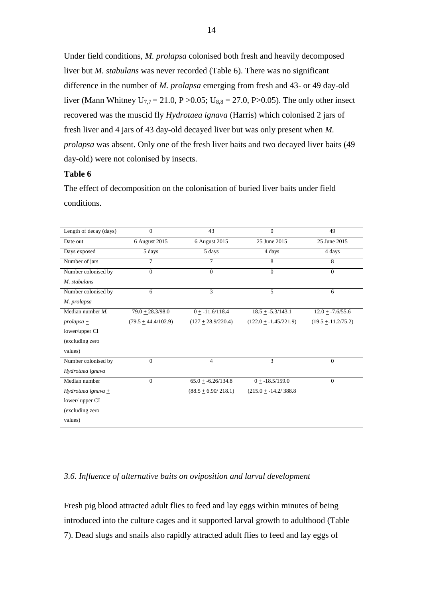Under field conditions, *M. prolapsa* colonised both fresh and heavily decomposed liver but *M. stabulans* was never recorded (Table 6). There was no significant difference in the number of *M. prolapsa* emerging from fresh and 43- or 49 day-old liver (Mann Whitney U<sub>7,7</sub> = 21.0, P > 0.05; U<sub>8,8</sub> = 27.0, P > 0.05). The only other insect recovered was the muscid fly *Hydrotaea ignava* (Harris) which colonised 2 jars of fresh liver and 4 jars of 43 day-old decayed liver but was only present when *M. prolapsa* was absent. Only one of the fresh liver baits and two decayed liver baits (49 day-old) were not colonised by insects.

### **Table 6**

The effect of decomposition on the colonisation of buried liver baits under field conditions.

| Length of decay (days) | $\Omega$              | 43                      | $\Omega$                 | 49                   |
|------------------------|-----------------------|-------------------------|--------------------------|----------------------|
| Date out               | 6 August 2015         | 6 August 2015           | 25 June 2015             | 25 June 2015         |
| Days exposed           | 5 days                | 5 days                  | 4 days                   | 4 days               |
| Number of jars         | $\overline{7}$        | 7                       | 8                        | 8                    |
| Number colonised by    | $\Omega$              | $\Omega$                | $\theta$                 | $\Omega$             |
| M. stabulans           |                       |                         |                          |                      |
| Number colonised by    | 6                     | 3                       | 5                        | 6                    |
| M. prolapsa            |                       |                         |                          |                      |
| Median number $M$ .    | $79.0 + 28.3/98.0$    | $0 + -11.6/118.4$       | $18.5 + -5.3/143.1$      | $12.0 + -7.6/55.6$   |
| $prolapsa +$           | $(79.5 + 44.4/102.9)$ | $(127 + 28.9/220.4)$    | $(122.0 + -1.45/221.9)$  | $(19.5 + 11.2/75.2)$ |
| lower/upper CI         |                       |                         |                          |                      |
| (excluding zero        |                       |                         |                          |                      |
| values)                |                       |                         |                          |                      |
| Number colonised by    | $\Omega$              | $\overline{4}$          | $\overline{3}$           | $\mathbf{0}$         |
| Hydrotaea ignava       |                       |                         |                          |                      |
| Median number          | $\Omega$              | $65.0 + -6.26/134.8$    | $0 + -18.5/159.0$        | $\overline{0}$       |
| Hydrotaea ignava $\pm$ |                       | $(88.5 + 6.90 / 218.1)$ | $(215.0 + -14.2 / 388.8$ |                      |
| lower/ upper CI        |                       |                         |                          |                      |
| (excluding zero        |                       |                         |                          |                      |
| values)                |                       |                         |                          |                      |

### *3.6. Influence of alternative baits on oviposition and larval development*

Fresh pig blood attracted adult flies to feed and lay eggs within minutes of being introduced into the culture cages and it supported larval growth to adulthood (Table 7). Dead slugs and snails also rapidly attracted adult flies to feed and lay eggs of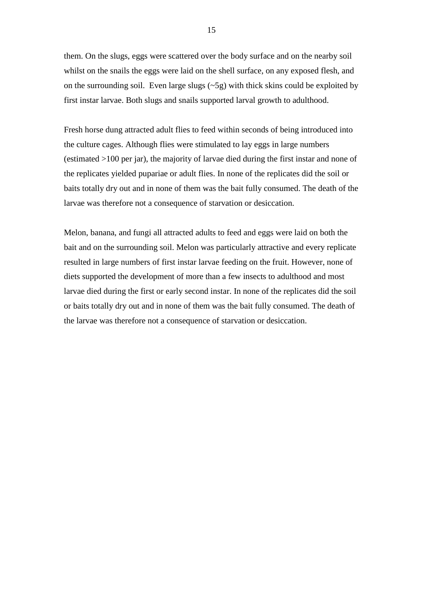them. On the slugs, eggs were scattered over the body surface and on the nearby soil whilst on the snails the eggs were laid on the shell surface, on any exposed flesh, and on the surrounding soil. Even large slugs  $(-5g)$  with thick skins could be exploited by first instar larvae. Both slugs and snails supported larval growth to adulthood.

Fresh horse dung attracted adult flies to feed within seconds of being introduced into the culture cages. Although flies were stimulated to lay eggs in large numbers (estimated >100 per jar), the majority of larvae died during the first instar and none of the replicates yielded pupariae or adult flies. In none of the replicates did the soil or baits totally dry out and in none of them was the bait fully consumed. The death of the larvae was therefore not a consequence of starvation or desiccation.

Melon, banana, and fungi all attracted adults to feed and eggs were laid on both the bait and on the surrounding soil. Melon was particularly attractive and every replicate resulted in large numbers of first instar larvae feeding on the fruit. However, none of diets supported the development of more than a few insects to adulthood and most larvae died during the first or early second instar. In none of the replicates did the soil or baits totally dry out and in none of them was the bait fully consumed. The death of the larvae was therefore not a consequence of starvation or desiccation.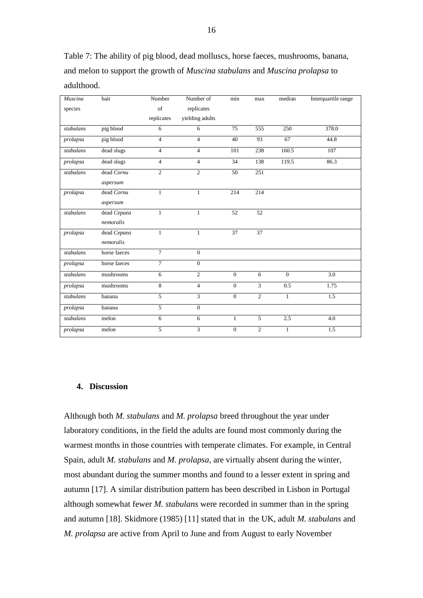Table 7: The ability of pig blood, dead molluscs, horse faeces, mushrooms, banana, and melon to support the growth of *Muscina stabulans* and *Muscina prolapsa* to adulthood.

| Muscina   | bait         | Number         | Number of       | min             | max             | median         | Interquartile range |
|-----------|--------------|----------------|-----------------|-----------------|-----------------|----------------|---------------------|
| species   |              | of             | replicates      |                 |                 |                |                     |
|           |              | replicates     | yielding adults |                 |                 |                |                     |
| stabulans | pig blood    | 6              | 6               | 75              | 555             | 250            | 378.0               |
| prolapsa  | pig blood    | $\overline{4}$ | $\overline{4}$  | 40              | 93              | 67             | 44.8                |
| stabulans | dead slugs   | $\overline{4}$ | $\overline{4}$  | 101             | 238             | 160.5          | 107                 |
| prolapsa  | dead slugs   | $\overline{4}$ | $\overline{4}$  | 34              | 138             | 119.5          | 86.3                |
| stabulans | dead Cornu   | $\overline{2}$ | $\overline{2}$  | $\overline{50}$ | 251             |                |                     |
|           | aspersum     |                |                 |                 |                 |                |                     |
| prolapsa  | dead Cornu   | $\mathbf{1}$   | $\mathbf{1}$    | 214             | 214             |                |                     |
|           | aspersum     |                |                 |                 |                 |                |                     |
| stabulans | dead Cepaea  | $\mathbf{1}$   | 1               | $\overline{52}$ | $\overline{52}$ |                |                     |
|           | nemoralis    |                |                 |                 |                 |                |                     |
| prolapsa  | dead Cepaea  | 1              | 1               | 37              | 37              |                |                     |
|           | nemoralis    |                |                 |                 |                 |                |                     |
| stabulans | horse faeces | $\overline{7}$ | $\overline{0}$  |                 |                 |                |                     |
| prolapsa  | horse faeces | $\overline{7}$ | $\mathbf{0}$    |                 |                 |                |                     |
| stabulans | mushrooms    | 6              | $\overline{2}$  | $\overline{0}$  | 6               | $\overline{0}$ | 3.0                 |
| prolapsa  | mushrooms    | 8              | $\overline{4}$  | $\Omega$        | 3               | 0.5            | 1.75                |
| stabulans | banana       | $\overline{5}$ | $\overline{3}$  | $\mathbf{0}$    | 2               | $\mathbf{1}$   | 1.5                 |
| prolapsa  | banana       | $\overline{5}$ | $\overline{0}$  |                 |                 |                |                     |
| stabulans | melon        | 6              | 6               | $\mathbf{1}$    | 5               | 2.5            | 4.0                 |
| prolapsa  | melon        | $\overline{5}$ | 3               | $\Omega$        | $\overline{c}$  | $\mathbf{1}$   | 1.5                 |

### **4. Discussion**

Although both *M. stabulans* and *M. prolapsa* breed throughout the year under laboratory conditions, in the field the adults are found most commonly during the warmest months in those countries with temperate climates. For example, in Central Spain, adult *M. stabulans* and *M. prolapsa*, are virtually absent during the winter, most abundant during the summer months and found to a lesser extent in spring and autumn [17]. A similar distribution pattern has been described in Lisbon in Portugal although somewhat fewer *M. stabulans* were recorded in summer than in the spring and autumn [18]. Skidmore (1985) [11] stated that in the UK, adult *M. stabulans* and *M. prolapsa* are active from April to June and from August to early November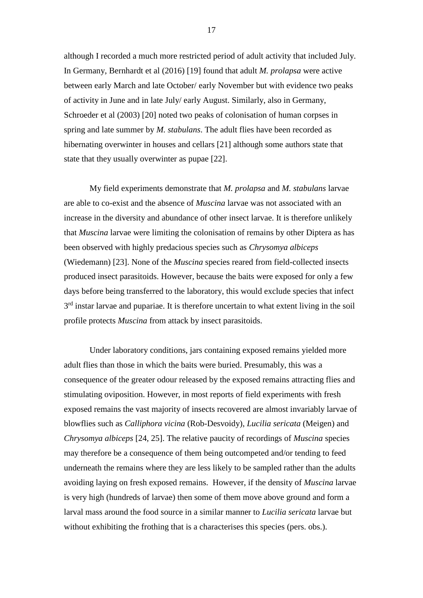although I recorded a much more restricted period of adult activity that included July. In Germany, Bernhardt et al (2016) [19] found that adult *M. prolapsa* were active between early March and late October/ early November but with evidence two peaks of activity in June and in late July/ early August. Similarly, also in Germany, Schroeder et al (2003) [20] noted two peaks of colonisation of human corpses in spring and late summer by *M. stabulans*. The adult flies have been recorded as hibernating overwinter in houses and cellars [21] although some authors state that state that they usually overwinter as pupae [22].

My field experiments demonstrate that *M. prolapsa* and *M. stabulans* larvae are able to co-exist and the absence of *Muscina* larvae was not associated with an increase in the diversity and abundance of other insect larvae. It is therefore unlikely that *Muscina* larvae were limiting the colonisation of remains by other Diptera as has been observed with highly predacious species such as *Chrysomya albiceps* (Wiedemann) [23]. None of the *Muscina* species reared from field-collected insects produced insect parasitoids. However, because the baits were exposed for only a few days before being transferred to the laboratory, this would exclude species that infect 3<sup>rd</sup> instar larvae and pupariae. It is therefore uncertain to what extent living in the soil profile protects *Muscina* from attack by insect parasitoids.

Under laboratory conditions, jars containing exposed remains yielded more adult flies than those in which the baits were buried. Presumably, this was a consequence of the greater odour released by the exposed remains attracting flies and stimulating oviposition. However, in most reports of field experiments with fresh exposed remains the vast majority of insects recovered are almost invariably larvae of blowflies such as *Calliphora vicina* (Rob-Desvoidy), *Lucilia sericata* (Meigen) and *Chrysomya albiceps* [24, 25]. The relative paucity of recordings of *Muscina* species may therefore be a consequence of them being outcompeted and/or tending to feed underneath the remains where they are less likely to be sampled rather than the adults avoiding laying on fresh exposed remains. However, if the density of *Muscina* larvae is very high (hundreds of larvae) then some of them move above ground and form a larval mass around the food source in a similar manner to *Lucilia sericata* larvae but without exhibiting the frothing that is a characterises this species (pers. obs.).

17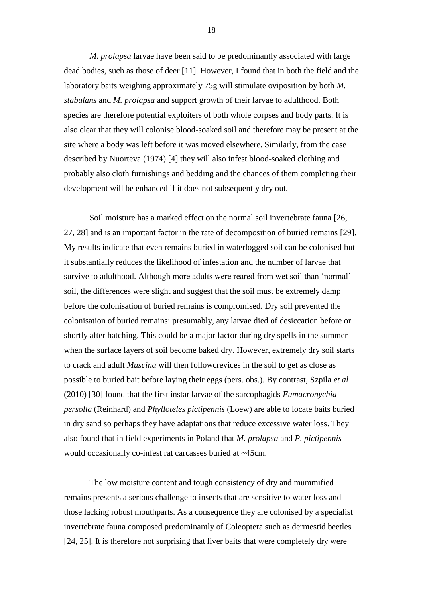*M. prolapsa* larvae have been said to be predominantly associated with large dead bodies, such as those of deer [11]. However, I found that in both the field and the laboratory baits weighing approximately 75g will stimulate oviposition by both *M. stabulans* and *M. prolapsa* and support growth of their larvae to adulthood. Both species are therefore potential exploiters of both whole corpses and body parts. It is also clear that they will colonise blood-soaked soil and therefore may be present at the site where a body was left before it was moved elsewhere. Similarly, from the case described by Nuorteva (1974) [4] they will also infest blood-soaked clothing and probably also cloth furnishings and bedding and the chances of them completing their development will be enhanced if it does not subsequently dry out.

Soil moisture has a marked effect on the normal soil invertebrate fauna [26, 27, 28] and is an important factor in the rate of decomposition of buried remains [29]. My results indicate that even remains buried in waterlogged soil can be colonised but it substantially reduces the likelihood of infestation and the number of larvae that survive to adulthood. Although more adults were reared from wet soil than 'normal' soil, the differences were slight and suggest that the soil must be extremely damp before the colonisation of buried remains is compromised. Dry soil prevented the colonisation of buried remains: presumably, any larvae died of desiccation before or shortly after hatching. This could be a major factor during dry spells in the summer when the surface layers of soil become baked dry. However, extremely dry soil starts to crack and adult *Muscina* will then followcrevices in the soil to get as close as possible to buried bait before laying their eggs (pers. obs.). By contrast, Szpila *et al* (2010) [30] found that the first instar larvae of the sarcophagids *Eumacronychia persolla* (Reinhard) and *Phylloteles pictipennis* (Loew) are able to locate baits buried in dry sand so perhaps they have adaptations that reduce excessive water loss. They also found that in field experiments in Poland that *M. prolapsa* and *P. pictipennis* would occasionally co-infest rat carcasses buried at ~45cm.

The low moisture content and tough consistency of dry and mummified remains presents a serious challenge to insects that are sensitive to water loss and those lacking robust mouthparts. As a consequence they are colonised by a specialist invertebrate fauna composed predominantly of Coleoptera such as dermestid beetles [24, 25]. It is therefore not surprising that liver baits that were completely dry were

18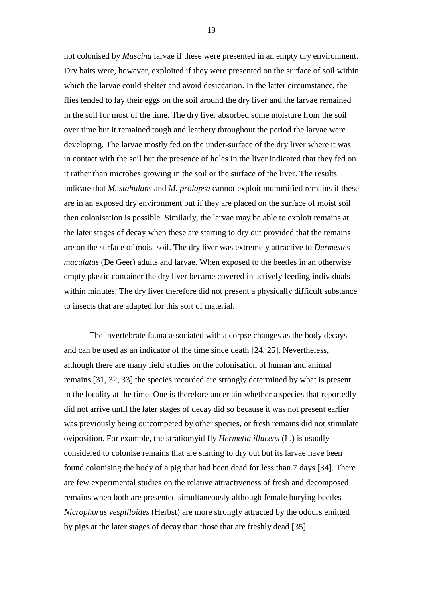not colonised by *Muscina* larvae if these were presented in an empty dry environment. Dry baits were, however, exploited if they were presented on the surface of soil within which the larvae could shelter and avoid desiccation. In the latter circumstance, the flies tended to lay their eggs on the soil around the dry liver and the larvae remained in the soil for most of the time. The dry liver absorbed some moisture from the soil over time but it remained tough and leathery throughout the period the larvae were developing. The larvae mostly fed on the under-surface of the dry liver where it was in contact with the soil but the presence of holes in the liver indicated that they fed on it rather than microbes growing in the soil or the surface of the liver. The results indicate that *M. stabulans* and *M. prolapsa* cannot exploit mummified remains if these are in an exposed dry environment but if they are placed on the surface of moist soil then colonisation is possible. Similarly, the larvae may be able to exploit remains at the later stages of decay when these are starting to dry out provided that the remains are on the surface of moist soil. The dry liver was extremely attractive to *Dermestes maculatus* (De Geer) adults and larvae. When exposed to the beetles in an otherwise empty plastic container the dry liver became covered in actively feeding individuals within minutes. The dry liver therefore did not present a physically difficult substance to insects that are adapted for this sort of material.

The invertebrate fauna associated with a corpse changes as the body decays and can be used as an indicator of the time since death [24, 25]. Nevertheless, although there are many field studies on the colonisation of human and animal remains [31, 32, 33] the species recorded are strongly determined by what is present in the locality at the time. One is therefore uncertain whether a species that reportedly did not arrive until the later stages of decay did so because it was not present earlier was previously being outcompeted by other species, or fresh remains did not stimulate oviposition. For example, the stratiomyid fly *Hermetia illucens* (L.) is usually considered to colonise remains that are starting to dry out but its larvae have been found colonising the body of a pig that had been dead for less than 7 days [34]. There are few experimental studies on the relative attractiveness of fresh and decomposed remains when both are presented simultaneously although female burying beetles *Nicrophorus vespilloides* (Herbst) are more strongly attracted by the odours emitted by pigs at the later stages of decay than those that are freshly dead [35].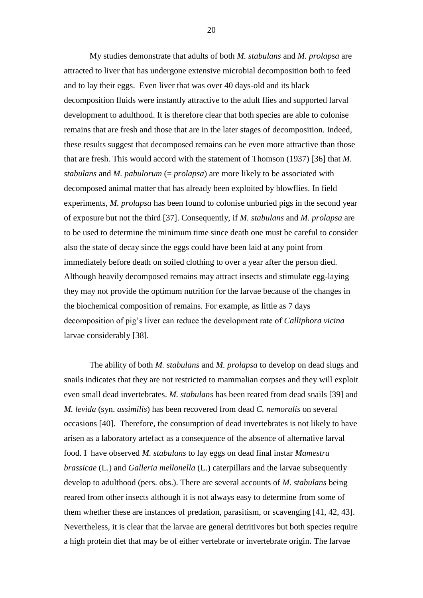My studies demonstrate that adults of both *M. stabulans* and *M. prolapsa* are attracted to liver that has undergone extensive microbial decomposition both to feed and to lay their eggs. Even liver that was over 40 days-old and its black decomposition fluids were instantly attractive to the adult flies and supported larval development to adulthood. It is therefore clear that both species are able to colonise remains that are fresh and those that are in the later stages of decomposition. Indeed, these results suggest that decomposed remains can be even more attractive than those that are fresh. This would accord with the statement of Thomson (1937) [36] that *M. stabulans* and *M. pabulorum* (= *prolapsa*) are more likely to be associated with decomposed animal matter that has already been exploited by blowflies. In field experiments, *M. prolapsa* has been found to colonise unburied pigs in the second year of exposure but not the third [37]. Consequently, if *M. stabulans* and *M. prolapsa* are to be used to determine the minimum time since death one must be careful to consider also the state of decay since the eggs could have been laid at any point from immediately before death on soiled clothing to over a year after the person died. Although heavily decomposed remains may attract insects and stimulate egg-laying they may not provide the optimum nutrition for the larvae because of the changes in the biochemical composition of remains. For example, as little as 7 days decomposition of pig's liver can reduce the development rate of *Calliphora vicina* larvae considerably [38].

The ability of both *M. stabulans* and *M. prolapsa* to develop on dead slugs and snails indicates that they are not restricted to mammalian corpses and they will exploit even small dead invertebrates. *M. stabulans* has been reared from dead snails [39] and *M. levida* (syn. *assimilis*) has been recovered from dead *C. nemoralis* on several occasions [40]. Therefore, the consumption of dead invertebrates is not likely to have arisen as a laboratory artefact as a consequence of the absence of alternative larval food. I have observed *M. stabulans* to lay eggs on dead final instar *Mamestra brassicae* (L.) and *Galleria mellonella* (L.) caterpillars and the larvae subsequently develop to adulthood (pers. obs.). There are several accounts of *M. stabulans* being reared from other insects although it is not always easy to determine from some of them whether these are instances of predation, parasitism, or scavenging [41, 42, 43]. Nevertheless, it is clear that the larvae are general detritivores but both species require a high protein diet that may be of either vertebrate or invertebrate origin. The larvae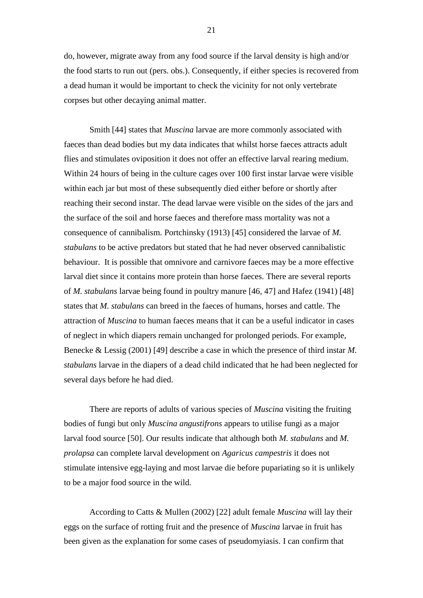do, however, migrate away from any food source if the larval density is high and/or the food starts to run out (pers. obs.). Consequently, if either species is recovered from a dead human it would be important to check the vicinity for not only vertebrate corpses but other decaying animal matter.

Smith [44] states that *Muscina* larvae are more commonly associated with faeces than dead bodies but my data indicates that whilst horse faeces attracts adult flies and stimulates oviposition it does not offer an effective larval rearing medium. Within 24 hours of being in the culture cages over 100 first instar larvae were visible within each jar but most of these subsequently died either before or shortly after reaching their second instar. The dead larvae were visible on the sides of the jars and the surface of the soil and horse faeces and therefore mass mortality was not a consequence of cannibalism. Portchinsky (1913) [45] considered the larvae of *M. stabulans* to be active predators but stated that he had never observed cannibalistic behaviour. It is possible that omnivore and carnivore faeces may be a more effective larval diet since it contains more protein than horse faeces. There are several reports of *M. stabulans* larvae being found in poultry manure [46, 47] and Hafez (1941) [48] states that *M. stabulans* can breed in the faeces of humans, horses and cattle. The attraction of *Muscina* to human faeces means that it can be a useful indicator in cases of neglect in which diapers remain unchanged for prolonged periods. For example, Benecke & Lessig (2001) [49] describe a case in which the presence of third instar *M. stabulans* larvae in the diapers of a dead child indicated that he had been neglected for several days before he had died.

There are reports of adults of various species of *Muscina* visiting the fruiting bodies of fungi but only *Muscina angustifrons* appears to utilise fungi as a major larval food source [50]. Our results indicate that although both *M. stabulans* and *M. prolapsa* can complete larval development on *Agaricus campestris* it does not stimulate intensive egg-laying and most larvae die before pupariating so it is unlikely to be a major food source in the wild.

According to Catts & Mullen (2002) [22] adult female *Muscina* will lay their eggs on the surface of rotting fruit and the presence of *Muscina* larvae in fruit has been given as the explanation for some cases of pseudomyiasis. I can confirm that

21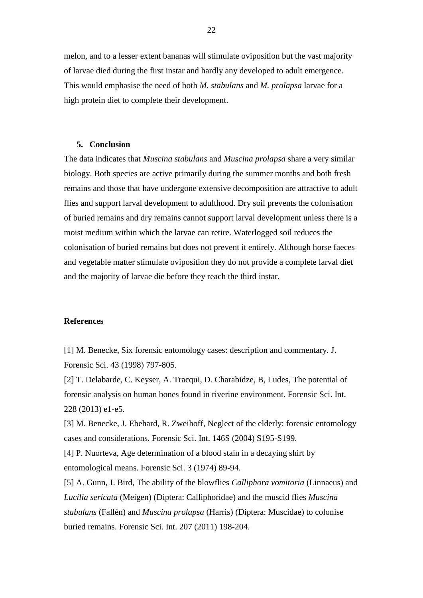melon, and to a lesser extent bananas will stimulate oviposition but the vast majority of larvae died during the first instar and hardly any developed to adult emergence. This would emphasise the need of both *M. stabulans* and *M. prolapsa* larvae for a high protein diet to complete their development.

#### **5. Conclusion**

The data indicates that *Muscina stabulans* and *Muscina prolapsa* share a very similar biology. Both species are active primarily during the summer months and both fresh remains and those that have undergone extensive decomposition are attractive to adult flies and support larval development to adulthood. Dry soil prevents the colonisation of buried remains and dry remains cannot support larval development unless there is a moist medium within which the larvae can retire. Waterlogged soil reduces the colonisation of buried remains but does not prevent it entirely. Although horse faeces and vegetable matter stimulate oviposition they do not provide a complete larval diet and the majority of larvae die before they reach the third instar.

### **References**

[1] M. Benecke, Six forensic entomology cases: description and commentary. J. Forensic Sci. 43 (1998) 797-805.

[2] T. Delabarde, C. Keyser, A. Tracqui, D. Charabidze, B, Ludes, The potential of forensic analysis on human bones found in riverine environment. Forensic Sci. Int. 228 (2013) e1-e5.

[3] M. Benecke, J. Ebehard, R. Zweihoff, Neglect of the elderly: forensic entomology cases and considerations. Forensic Sci. Int. 146S (2004) S195-S199.

[4] P. Nuorteva, Age determination of a blood stain in a decaying shirt by entomological means. Forensic Sci. 3 (1974) 89-94.

[5] A. Gunn, J. Bird, The ability of the blowflies *Calliphora vomitoria* (Linnaeus) and *Lucilia sericata* (Meigen) (Diptera: Calliphoridae) and the muscid flies *Muscina stabulans* (Fallén) and *Muscina prolapsa* (Harris) (Diptera: Muscidae) to colonise buried remains. Forensic Sci. Int. 207 (2011) 198-204.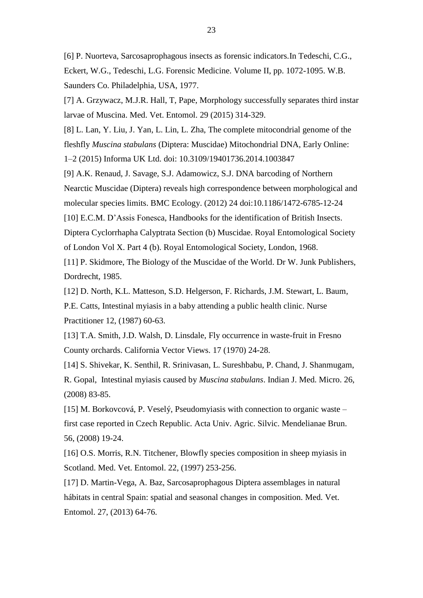[6] P. Nuorteva, Sarcosaprophagous insects as forensic indicators.In Tedeschi, C.G., Eckert, W.G., Tedeschi, L.G. Forensic Medicine. Volume II, pp. 1072-1095. W.B. Saunders Co. Philadelphia, USA, 1977.

[7] A. Grzywacz, M.J.R. Hall, T, Pape, Morphology successfully separates third instar larvae of Muscina. Med. Vet. Entomol. 29 (2015) 314-329.

[8] L. Lan, Y. Liu, J. Yan, L. Lin, L. Zha, The complete mitocondrial genome of the fleshfly *Muscina stabulans* (Diptera: Muscidae) Mitochondrial DNA, Early Online: 1–2 (2015) Informa UK Ltd. doi: 10.3109/19401736.2014.1003847

[9] A.K. Renaud, J. Savage, S.J. Adamowicz, S.J. DNA barcoding of Northern Nearctic Muscidae (Diptera) reveals high correspondence between morphological and molecular species limits. BMC Ecology. (2012) 24 doi:10.1186/1472-6785-12-24

[10] E.C.M. D'Assis Fonesca, Handbooks for the identification of British Insects.

Diptera Cyclorrhapha Calyptrata Section (b) Muscidae. Royal Entomological Society

of London Vol X. Part 4 (b). Royal Entomological Society, London, 1968.

[11] P. Skidmore, The Biology of the Muscidae of the World. Dr W. Junk Publishers, Dordrecht, 1985.

[12] D. North, K.L. Matteson, S.D. Helgerson, F. Richards, J.M. Stewart, L. Baum,

P.E. Catts, Intestinal myiasis in a baby attending a public health clinic. Nurse Practitioner 12, (1987) 60-63.

[13] T.A. Smith, J.D. Walsh, D. Linsdale, Fly occurrence in waste-fruit in Fresno County orchards. California Vector Views. 17 (1970) 24-28.

[14] S. Shivekar, K. Senthil, R. Srinivasan, L. Sureshbabu, P. Chand, J. Shanmugam, R. Gopal, Intestinal myiasis caused by *Muscina stabulans*. Indian J. Med. Micro. 26, (2008) 83-85.

[15] M. Borkovcová, P. Veselý, Pseudomyiasis with connection to organic waste – first case reported in Czech Republic. Acta Univ. Agric. Silvic. Mendelianae Brun. 56, (2008) 19-24.

[16] O.S. Morris, R.N. Titchener, Blowfly species composition in sheep myiasis in Scotland. Med. Vet. Entomol. 22, (1997) 253-256.

[17] D. Martin-Vega, A. Baz, Sarcosaprophagous Diptera assemblages in natural hábitats in central Spain: spatial and seasonal changes in composition. Med. Vet. Entomol. 27, (2013) 64-76.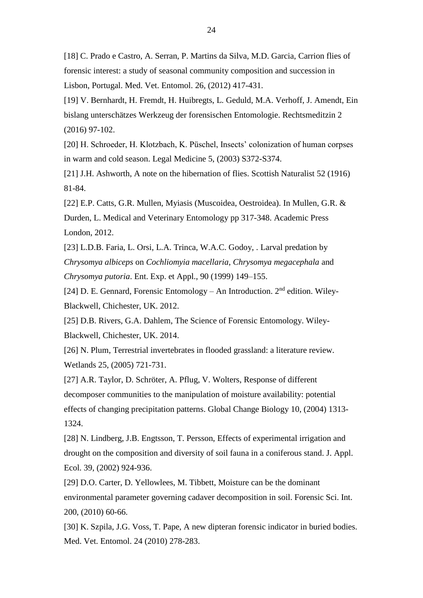[18] C. Prado e Castro, A. Serran, P. Martins da Silva, M.D. Garcia, Carrion flies of forensic interest: a study of seasonal community composition and succession in Lisbon, Portugal. Med. Vet. Entomol. 26, (2012) 417-431.

[19] V. Bernhardt, H. Fremdt, H. Huibregts, L. Geduld, M.A. Verhoff, J. Amendt, Ein bislang unterschätzes Werkzeug der forensischen Entomologie. Rechtsmeditzin 2 (2016) 97-102.

[20] H. Schroeder, H. Klotzbach, K. Püschel, Insects' colonization of human corpses in warm and cold season. Legal Medicine 5, (2003) S372-S374.

[21] J.H. Ashworth, A note on the hibernation of flies. Scottish Naturalist 52 (1916) 81-84.

[22] E.P. Catts, G.R. Mullen, Myiasis (Muscoidea, Oestroidea). In Mullen, G.R. & Durden, L. Medical and Veterinary Entomology pp 317-348. Academic Press London, 2012.

[23] L.D.B. Faria, L. Orsi, L.A. Trinca, W.A.C. Godoy, . Larval predation by *Chrysomya albiceps* on *Cochliomyia macellaria*, *Chrysomya megacephala* and *Chrysomya putoria*. Ent. Exp. et Appl., 90 (1999) 149–155.

[24] D. E. Gennard, Forensic Entomology – An Introduction.  $2<sup>nd</sup>$  edition. Wiley-Blackwell, Chichester, UK. 2012.

[25] D.B. Rivers, G.A. Dahlem, The Science of Forensic Entomology. Wiley-Blackwell, Chichester, UK. 2014.

[26] N. Plum, Terrestrial invertebrates in flooded grassland: a literature review. Wetlands 25, (2005) 721-731.

[27] A.R. Taylor, D. Schröter, A. Pflug, V. Wolters, Response of different decomposer communities to the manipulation of moisture availability: potential effects of changing precipitation patterns. Global Change Biology 10, (2004) 1313- 1324.

[28] N. Lindberg, J.B. Engtsson, T. Persson, Effects of experimental irrigation and drought on the composition and diversity of soil fauna in a coniferous stand. J. Appl. Ecol. 39, (2002) 924-936.

[29] D.O. Carter, D. Yellowlees, M. Tibbett, Moisture can be the dominant environmental parameter governing cadaver decomposition in soil. Forensic Sci. Int. 200, (2010) 60-66.

[30] K. Szpila, J.G. Voss, T. Pape, A new dipteran forensic indicator in buried bodies. Med. Vet. Entomol. 24 (2010) 278-283.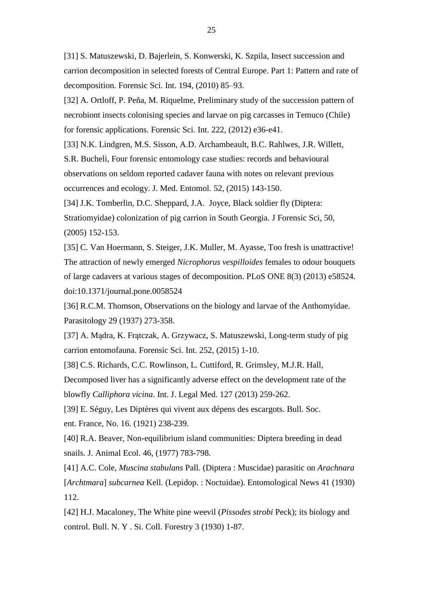[31] S. Matuszewski, D. Bajerlein, S. Konwerski, K. Szpila, Insect succession and carrion decomposition in selected forests of Central Europe. Part 1: Pattern and rate of decomposition. Forensic Sci. Int. 194, (2010) 85–93.

[32] A. Ortloff, P. Peña, M. Riquelme, Preliminary study of the succession pattern of necrobiont insects colonising species and larvae on pig carcasses in Temuco (Chile) for forensic applications. Forensic Sci. Int. 222, (2012) e36-e41.

[33] N.K. Lindgren, M.S. Sisson, A.D. Archambeault, B.C. Rahlwes, J.R. Willett, S.R. Bucheli, Four forensic entomology case studies: records and behavioural observations on seldom reported cadaver fauna with notes on relevant previous occurrences and ecology. J. Med. Entomol. 52, (2015) 143-150.

[34] J.K. Tomberlin, D.C. Sheppard, J.A. Joyce, Black soldier fly (Diptera: Stratiomyidae) colonization of pig carrion in South Georgia. J Forensic Sci, 50, (2005) 152-153.

[35] C. Van Hoermann, S. Steiger, J.K. Muller, M. Ayasse, Too fresh is unattractive! The attraction of newly emerged *Nicrophorus vespilloides* females to odour bouquets of large cadavers at various stages of decomposition. PLoS ONE 8(3) (2013) e58524. doi:10.1371/journal.pone.0058524

[36] R.C.M. Thomson, Observations on the biology and larvae of the Anthomyidae. Parasitology 29 (1937) 273-358.

[37] A. Mądra, K. Frątczak, A. Grzywacz, S. Matuszewski, Long-term study of pig carrion entomofauna. Forensic Sci. Int. 252, (2015) 1-10.

[38] C.S. Richards, C.C. Rowlinson, L. Cuttiford, R. Grimsley, M.J.R. Hall,

Decomposed liver has a significantly adverse effect on the development rate of the blowfly *Calliphora vicina*. Int. J. Legal Med. 127 (2013) 259-262.

[39] E. Séguy, Les Diptères qui vivent aux dépens des escargots. Bull. Soc. ent. France, No. 16. (1921) 238-239.

[40] R.A. Beaver, Non-equilibrium island communities: Diptera breeding in dead snails. J. Animal Ecol. 46, (1977) 783-798.

[41] A.C. Cole, *Muscina stabulans* Pall. (Diptera : Muscidae) parasitic on *Arachnara* [*Archtmara*] *subcarnea* Kell. (Lepidop. : Noctuidae). Entomological News 41 (1930) 112.

[42] H.J. Macaloney, The White pine weevil (*Pissodes strobi* Peck); its biology and control. Bull. N. Y . Si. Coll. Forestry 3 (1930) 1-87.